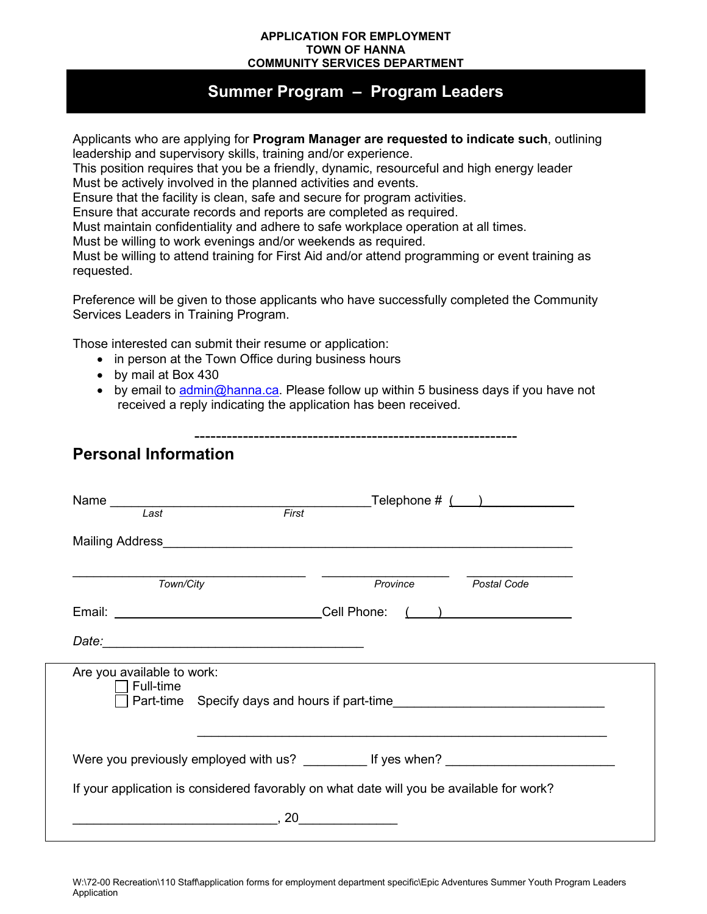## **APPLICATION FOR EMPLOYMENT TOWN OF HANNA COMMUNITY SERVICES DEPARTMENT**

## **Summer Program – Program Leaders**

Applicants who are applying for **Program Manager are requested to indicate such**, outlining leadership and supervisory skills, training and/or experience.

This position requires that you be a friendly, dynamic, resourceful and high energy leader Must be actively involved in the planned activities and events.

Ensure that the facility is clean, safe and secure for program activities.

Ensure that accurate records and reports are completed as required.

Must maintain confidentiality and adhere to safe workplace operation at all times.

Must be willing to work evenings and/or weekends as required.

Must be willing to attend training for First Aid and/or attend programming or event training as requested.

Preference will be given to those applicants who have successfully completed the Community Services Leaders in Training Program.

Those interested can submit their resume or application:

- in person at the Town Office during business hours
- by mail at Box 430
- by email to [admin@hanna.ca.](mailto:admin@hanna.ca) Please follow up within 5 business days if you have not received a reply indicating the application has been received.

## **Personal Information**

| Name<br>First<br>Last                   | Telephone $\#$ $($ $)$                                                                                               |
|-----------------------------------------|----------------------------------------------------------------------------------------------------------------------|
|                                         |                                                                                                                      |
| Town/City                               | Province<br>Postal Code                                                                                              |
| Email: Cell Phone:                      | $\left(\begin{array}{cc} 1 & 1 \end{array}\right)$                                                                   |
|                                         |                                                                                                                      |
| Are you available to work:<br>Full-time | Part-time Specify days and hours if part-time___________________________________                                     |
|                                         |                                                                                                                      |
|                                         | If your application is considered favorably on what date will you be available for work?                             |
| <b>20</b>                               | <u> 1989 - Jan Stein Stein Stein Stein Stein Stein Stein Stein Stein Stein Stein Stein Stein Stein Stein Stein S</u> |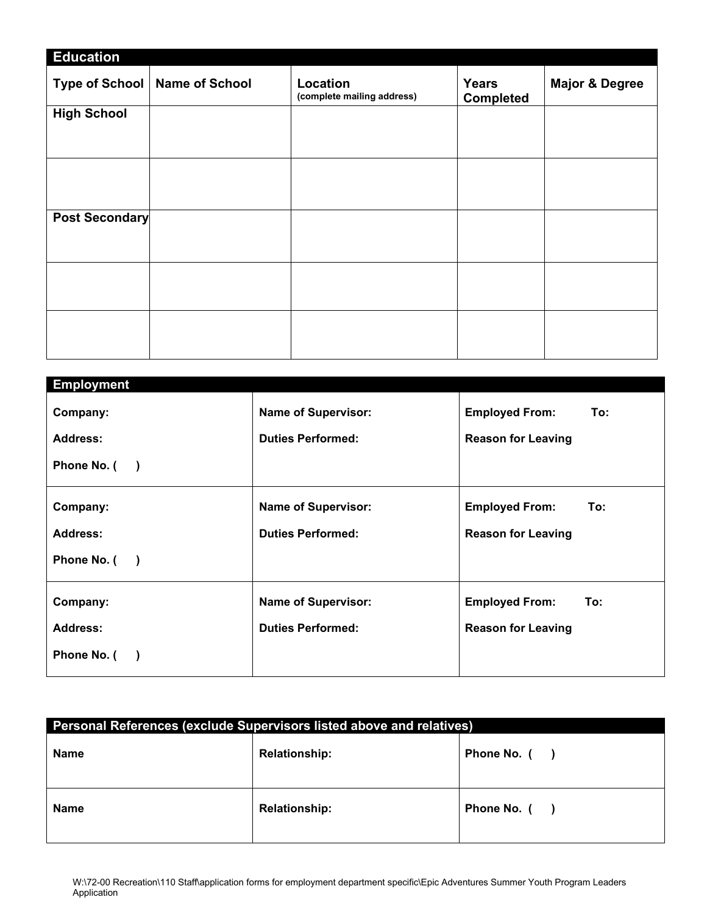| <b>Education</b>      |                                 |                                        |                                  |                           |
|-----------------------|---------------------------------|----------------------------------------|----------------------------------|---------------------------|
|                       | Type of School   Name of School | Location<br>(complete mailing address) | <b>Years</b><br><b>Completed</b> | <b>Major &amp; Degree</b> |
| <b>High School</b>    |                                 |                                        |                                  |                           |
|                       |                                 |                                        |                                  |                           |
|                       |                                 |                                        |                                  |                           |
|                       |                                 |                                        |                                  |                           |
|                       |                                 |                                        |                                  |                           |
| <b>Post Secondary</b> |                                 |                                        |                                  |                           |
|                       |                                 |                                        |                                  |                           |
|                       |                                 |                                        |                                  |                           |
|                       |                                 |                                        |                                  |                           |
|                       |                                 |                                        |                                  |                           |
|                       |                                 |                                        |                                  |                           |
|                       |                                 |                                        |                                  |                           |
|                       |                                 |                                        |                                  |                           |

| <b>Employment</b>                       |                            |                              |
|-----------------------------------------|----------------------------|------------------------------|
| Company:                                | <b>Name of Supervisor:</b> | <b>Employed From:</b><br>To: |
| Address:                                | <b>Duties Performed:</b>   | <b>Reason for Leaving</b>    |
| Phone No. (<br>$\overline{\phantom{a}}$ |                            |                              |
|                                         |                            |                              |
| Company:                                | <b>Name of Supervisor:</b> | <b>Employed From:</b><br>To: |
| Address:                                | <b>Duties Performed:</b>   | <b>Reason for Leaving</b>    |
| Phone No. (                             |                            |                              |
|                                         |                            |                              |
| Company:                                | <b>Name of Supervisor:</b> | <b>Employed From:</b><br>To: |
| Address:                                | <b>Duties Performed:</b>   | <b>Reason for Leaving</b>    |
| Phone No. (                             |                            |                              |
|                                         |                            |                              |

| Personal References (exclude Supervisors listed above and relatives) |                      |              |  |  |
|----------------------------------------------------------------------|----------------------|--------------|--|--|
| <b>Name</b>                                                          | <b>Relationship:</b> | Phone No. () |  |  |
| <b>Name</b>                                                          | <b>Relationship:</b> | Phone No. () |  |  |